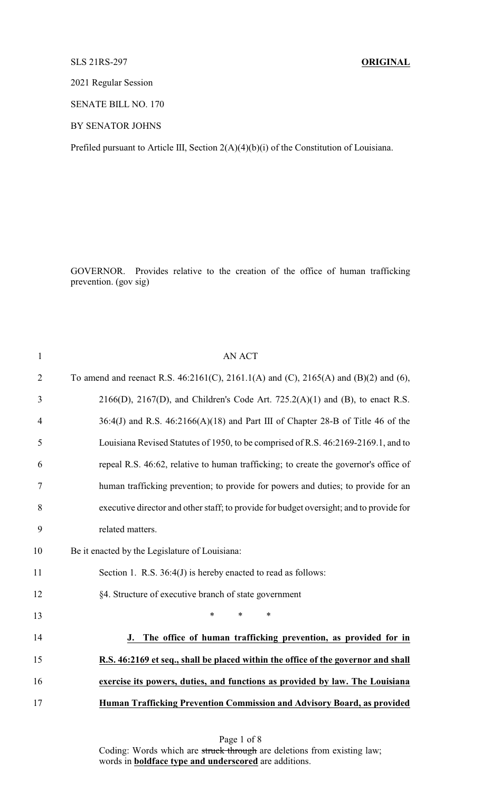### SLS 21RS-297 **ORIGINAL**

2021 Regular Session

SENATE BILL NO. 170

BY SENATOR JOHNS

Prefiled pursuant to Article III, Section 2(A)(4)(b)(i) of the Constitution of Louisiana.

GOVERNOR. Provides relative to the creation of the office of human trafficking prevention. (gov sig)

| $\mathbf{1}$   | <b>AN ACT</b>                                                                           |
|----------------|-----------------------------------------------------------------------------------------|
| $\overline{2}$ | To amend and reenact R.S. 46:2161(C), 2161.1(A) and (C), 2165(A) and (B)(2) and (6),    |
| 3              | $2166(D)$ , $2167(D)$ , and Children's Code Art. $725.2(A)(1)$ and (B), to enact R.S.   |
| 4              | $36:4$ (J) and R.S. $46:2166$ (A)(18) and Part III of Chapter 28-B of Title 46 of the   |
| 5              | Louisiana Revised Statutes of 1950, to be comprised of R.S. 46:2169-2169.1, and to      |
| 6              | repeal R.S. 46:62, relative to human trafficking; to create the governor's office of    |
| 7              | human trafficking prevention; to provide for powers and duties; to provide for an       |
| 8              | executive director and other staff; to provide for budget oversight; and to provide for |
| 9              | related matters.                                                                        |
| 10             | Be it enacted by the Legislature of Louisiana:                                          |
| 11             | Section 1. R.S. 36:4(J) is hereby enacted to read as follows:                           |
| 12             | §4. Structure of executive branch of state government                                   |
| 13             | $\ast$<br>$\ast$<br>$\ast$                                                              |
| 14             | The office of human trafficking prevention, as provided for in<br>J.                    |
| 15             | R.S. 46:2169 et seq., shall be placed within the office of the governor and shall       |
| 16             | exercise its powers, duties, and functions as provided by law. The Louisiana            |
| 17             | Human Trafficking Prevention Commission and Advisory Board, as provided                 |

Page 1 of 8 Coding: Words which are struck through are deletions from existing law; words in **boldface type and underscored** are additions.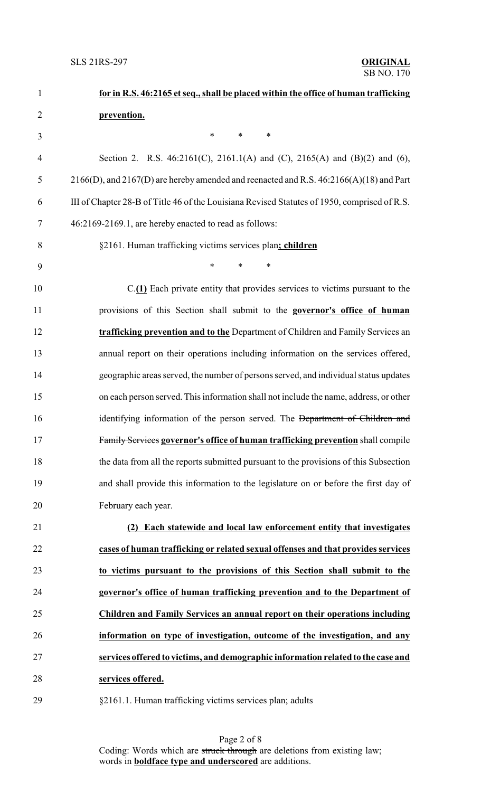| $\mathbf{1}$   | for in R.S. 46:2165 et seq., shall be placed within the office of human trafficking           |
|----------------|-----------------------------------------------------------------------------------------------|
| $\overline{2}$ | prevention.                                                                                   |
| 3              | *<br>*<br>∗                                                                                   |
| $\overline{4}$ | Section 2. R.S. 46:2161(C), 2161.1(A) and (C), 2165(A) and (B)(2) and (6),                    |
| 5              | $2166(D)$ , and $2167(D)$ are hereby amended and reenacted and R.S. $46:2166(A)(18)$ and Part |
| 6              | III of Chapter 28-B of Title 46 of the Louisiana Revised Statutes of 1950, comprised of R.S.  |
| 7              | 46:2169-2169.1, are hereby enacted to read as follows:                                        |
| 8              | §2161. Human trafficking victims services plan; children                                      |
| 9              | $\ast$<br>$\ast$<br>$\ast$                                                                    |
| 10             | C.(1) Each private entity that provides services to victims pursuant to the                   |
| 11             | provisions of this Section shall submit to the governor's office of human                     |
| 12             | trafficking prevention and to the Department of Children and Family Services an               |
| 13             | annual report on their operations including information on the services offered,              |
| 14             | geographic areas served, the number of persons served, and individual status updates          |
| 15             | on each person served. This information shall not include the name, address, or other         |
| 16             | identifying information of the person served. The Department of Children and                  |
| 17             | Family Services governor's office of human trafficking prevention shall compile               |
| 18             | the data from all the reports submitted pursuant to the provisions of this Subsection         |
| 19             | and shall provide this information to the legislature on or before the first day of           |
| 20             | February each year.                                                                           |
| 21             | Each statewide and local law enforcement entity that investigates                             |
| 22             | cases of human trafficking or related sexual offenses and that provides services              |
| 23             | to victims pursuant to the provisions of this Section shall submit to the                     |
| 24             | governor's office of human trafficking prevention and to the Department of                    |
| 25             | Children and Family Services an annual report on their operations including                   |
| 26             | information on type of investigation, outcome of the investigation, and any                   |
| 27             | services offered to victims, and demographic information related to the case and              |
| 28             | services offered.                                                                             |
|                |                                                                                               |

§2161.1. Human trafficking victims services plan; adults

Page 2 of 8 Coding: Words which are struck through are deletions from existing law; words in **boldface type and underscored** are additions.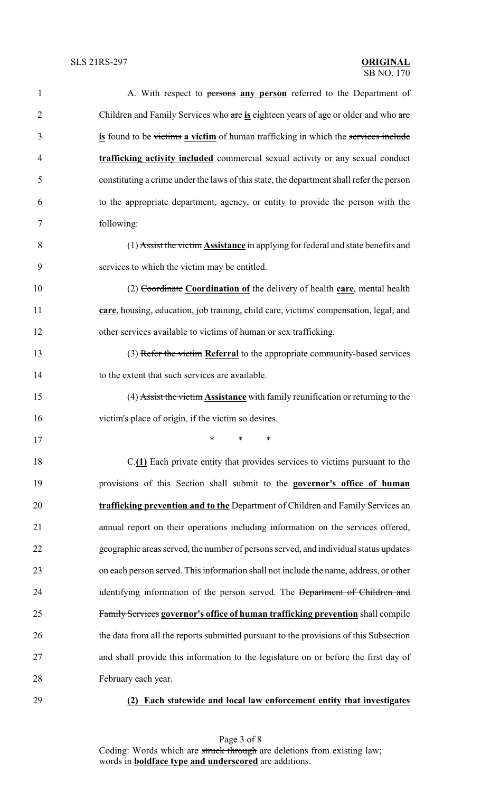| $\mathbf{1}$   | A. With respect to persons any person referred to the Department of                      |
|----------------|------------------------------------------------------------------------------------------|
| $\overline{2}$ | Children and Family Services who are is eighteen years of age or older and who are       |
| 3              | is found to be victims a victim of human trafficking in which the services include       |
| 4              | trafficking activity included commercial sexual activity or any sexual conduct           |
| 5              | constituting a crime under the laws of this state, the department shall refer the person |
| 6              | to the appropriate department, agency, or entity to provide the person with the          |
| 7              | following:                                                                               |
| 8              | (1) Assist the victim Assistance in applying for federal and state benefits and          |
| 9              | services to which the victim may be entitled.                                            |
| 10             | (2) Coordinate Coordination of the delivery of health care, mental health                |
| 11             | care, housing, education, job training, child care, victims' compensation, legal, and    |
| 12             | other services available to victims of human or sex trafficking.                         |
| 13             | (3) Refer the victim Referral to the appropriate community-based services                |
| 14             | to the extent that such services are available.                                          |
| 15             | (4) Assist the victim Assistance with family reunification or returning to the           |
| 16             | victim's place of origin, if the victim so desires.                                      |
| 17             | $\ast$ $\cdots$<br>$\ast$ and $\ast$<br>∗                                                |
| 18             | $C(\underline{1})$ Each private entity that provides services to victims pursuant to the |
| 19             | provisions of this Section shall submit to the governor's office of human                |
| 20             | trafficking prevention and to the Department of Children and Family Services an          |
| 21             | annual report on their operations including information on the services offered,         |
| 22             | geographic areas served, the number of persons served, and individual status updates     |
| 23             | on each person served. This information shall not include the name, address, or other    |
| 24             | identifying information of the person served. The Department of Children and             |
| 25             | Family Services governor's office of human trafficking prevention shall compile          |
| 26             | the data from all the reports submitted pursuant to the provisions of this Subsection    |
| 27             | and shall provide this information to the legislature on or before the first day of      |
| 28             | February each year.                                                                      |
| 29             | Each statewide and local law enforcement entity that investigates<br>(2)                 |

Page 3 of 8 Coding: Words which are struck through are deletions from existing law; words in **boldface type and underscored** are additions.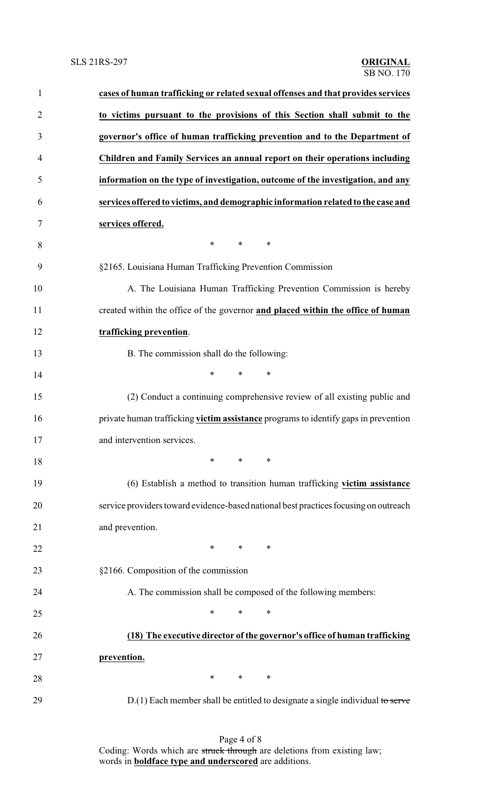| $\mathbf{1}$   | cases of human trafficking or related sexual offenses and that provides services     |
|----------------|--------------------------------------------------------------------------------------|
| $\overline{c}$ | to victims pursuant to the provisions of this Section shall submit to the            |
| 3              | governor's office of human trafficking prevention and to the Department of           |
| 4              | Children and Family Services an annual report on their operations including          |
| 5              | information on the type of investigation, outcome of the investigation, and any      |
| 6              | services offered to victims, and demographic information related to the case and     |
| 7              | services offered.                                                                    |
| 8              | $*$<br>$\ast$<br>$\ast$                                                              |
| 9              | §2165. Louisiana Human Trafficking Prevention Commission                             |
| 10             | A. The Louisiana Human Trafficking Prevention Commission is hereby                   |
| 11             | created within the office of the governor and placed within the office of human      |
| 12             | trafficking prevention.                                                              |
| 13             | B. The commission shall do the following:                                            |
| 14             | $\ast$<br>$\ast$<br>$\ast$                                                           |
| 15             | (2) Conduct a continuing comprehensive review of all existing public and             |
| 16             | private human trafficking victim assistance programs to identify gaps in prevention  |
| 17             | and intervention services.                                                           |
| 18             | $\ast$<br>$\ast$<br>∗                                                                |
| 19             | (6) Establish a method to transition human trafficking victim assistance             |
| 20             | service providers toward evidence-based national best practices focusing on outreach |
| 21             | and prevention.                                                                      |
| 22             | $\ast$<br>$\ast$<br>∗                                                                |
| 23             | §2166. Composition of the commission                                                 |
| 24             | A. The commission shall be composed of the following members:                        |
| 25             | $\ast$<br>*<br>∗                                                                     |
| 26             | (18) The executive director of the governor's office of human trafficking            |
| 27             | prevention.                                                                          |
| 28             | $\ast$<br>∗<br>∗                                                                     |
| 29             | $D(1)$ Each member shall be entitled to designate a single individual to serve       |

Page 4 of 8 Coding: Words which are struck through are deletions from existing law; words in **boldface type and underscored** are additions.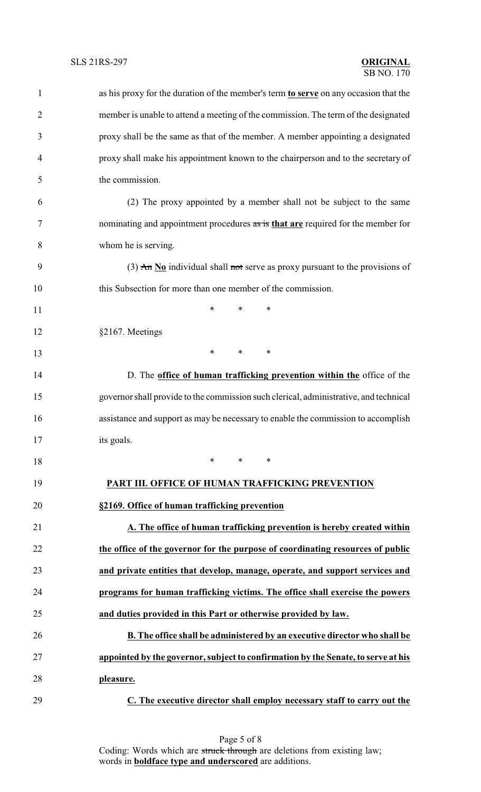| $\mathbf{1}$   | as his proxy for the duration of the member's term to serve on any occasion that the     |
|----------------|------------------------------------------------------------------------------------------|
| $\overline{2}$ | member is unable to attend a meeting of the commission. The term of the designated       |
| 3              | proxy shall be the same as that of the member. A member appointing a designated          |
| $\overline{4}$ | proxy shall make his appointment known to the chairperson and to the secretary of        |
| 5              | the commission.                                                                          |
| 6              | (2) The proxy appointed by a member shall not be subject to the same                     |
| 7              | nominating and appointment procedures as is that are required for the member for         |
| 8              | whom he is serving.                                                                      |
| 9              | (3) $\overline{An}$ No individual shall not serve as proxy pursuant to the provisions of |
| 10             | this Subsection for more than one member of the commission.                              |
| 11             | $\ast$<br>$\ast$<br>∗                                                                    |
| 12             | §2167. Meetings                                                                          |
| 13             | $\ast$<br>$\ast$<br>$\ast$                                                               |
| 14             | D. The office of human trafficking prevention within the office of the                   |
| 15             | governor shall provide to the commission such clerical, administrative, and technical    |
| 16             | assistance and support as may be necessary to enable the commission to accomplish        |
| 17             | its goals.                                                                               |
| 18             | $\ast$<br>*<br>∗                                                                         |
| 19             | PART III. OFFICE OF HUMAN TRAFFICKING PREVENTION                                         |
| 20             | §2169. Office of human trafficking prevention                                            |
| 21             | A. The office of human trafficking prevention is hereby created within                   |
| 22             | the office of the governor for the purpose of coordinating resources of public           |
| 23             | and private entities that develop, manage, operate, and support services and             |
| 24             | programs for human trafficking victims. The office shall exercise the powers             |
| 25             | and duties provided in this Part or otherwise provided by law.                           |
| 26             | B. The office shall be administered by an executive director who shall be                |
| 27             | appointed by the governor, subject to confirmation by the Senate, to serve at his        |
| 28             | pleasure.                                                                                |
| 29             | C. The executive director shall employ necessary staff to carry out the                  |

Page 5 of 8 Coding: Words which are struck through are deletions from existing law; words in **boldface type and underscored** are additions.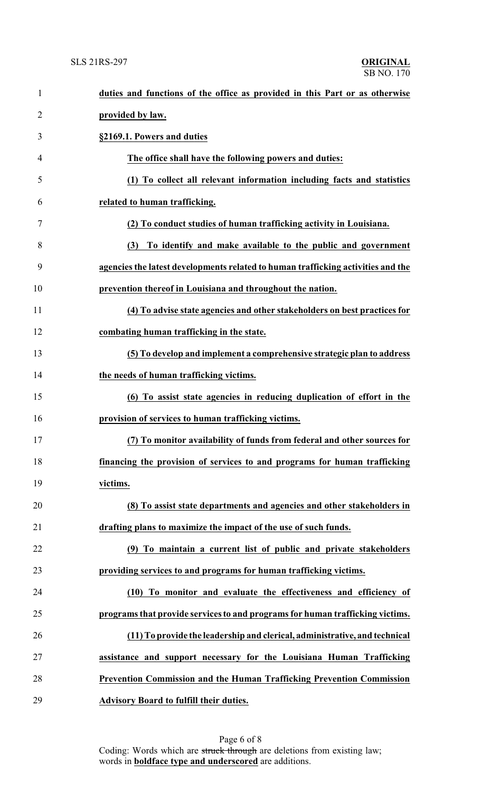| $\mathbf{1}$   | duties and functions of the office as provided in this Part or as otherwise      |
|----------------|----------------------------------------------------------------------------------|
| $\overline{2}$ | provided by law.                                                                 |
| 3              | §2169.1. Powers and duties                                                       |
| 4              | The office shall have the following powers and duties:                           |
| 5              | (1) To collect all relevant information including facts and statistics           |
| 6              | related to human trafficking.                                                    |
| 7              | (2) To conduct studies of human trafficking activity in Louisiana.               |
| 8              | To identify and make available to the public and government<br>(3)               |
| 9              | agencies the latest developments related to human trafficking activities and the |
| 10             | prevention thereof in Louisiana and throughout the nation.                       |
| 11             | (4) To advise state agencies and other stakeholders on best practices for        |
| 12             | combating human trafficking in the state.                                        |
| 13             | (5) To develop and implement a comprehensive strategic plan to address           |
| 14             | the needs of human trafficking victims.                                          |
| 15             | (6) To assist state agencies in reducing duplication of effort in the            |
| 16             | provision of services to human trafficking victims.                              |
| 17             | (7) To monitor availability of funds from federal and other sources for          |
| 18             | financing the provision of services to and programs for human trafficking        |
| 19             | victims.                                                                         |
| 20             | (8) To assist state departments and agencies and other stakeholders in           |
| 21             | drafting plans to maximize the impact of the use of such funds.                  |
| 22             | (9) To maintain a current list of public and private stakeholders                |
| 23             | providing services to and programs for human trafficking victims.                |
| 24             | (10) To monitor and evaluate the effectiveness and efficiency of                 |
| 25             | programs that provide services to and programs for human trafficking victims.    |
| 26             | (11) To provide the leadership and clerical, administrative, and technical       |
| 27             | assistance and support necessary for the Louisiana Human Trafficking             |
| 28             | <b>Prevention Commission and the Human Trafficking Prevention Commission</b>     |
| 29             | <b>Advisory Board to fulfill their duties.</b>                                   |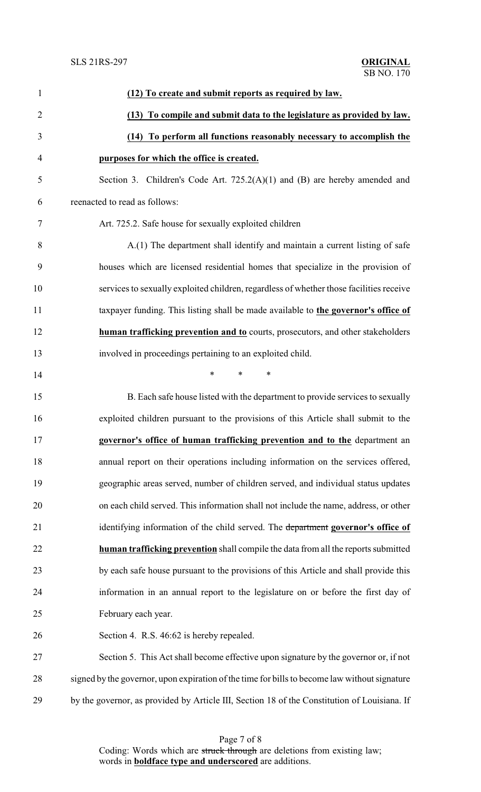| 1              | (12) To create and submit reports as required by law.                                         |
|----------------|-----------------------------------------------------------------------------------------------|
| $\overline{2}$ | (13) To compile and submit data to the legislature as provided by law.                        |
| 3              | (14) To perform all functions reasonably necessary to accomplish the                          |
| $\overline{4}$ | purposes for which the office is created.                                                     |
| 5              | Section 3. Children's Code Art. $725.2(A)(1)$ and (B) are hereby amended and                  |
| 6              | reenacted to read as follows:                                                                 |
| $\tau$         | Art. 725.2. Safe house for sexually exploited children                                        |
| 8              | A.(1) The department shall identify and maintain a current listing of safe                    |
| 9              | houses which are licensed residential homes that specialize in the provision of               |
| 10             | services to sexually exploited children, regardless of whether those facilities receive       |
| 11             | taxpayer funding. This listing shall be made available to the governor's office of            |
| 12             | human trafficking prevention and to courts, prosecutors, and other stakeholders               |
| 13             | involved in proceedings pertaining to an exploited child.                                     |
| 14             | $\ast$<br>$\ast$<br>$\ast$                                                                    |
| 15             | B. Each safe house listed with the department to provide services to sexually                 |
| 16             | exploited children pursuant to the provisions of this Article shall submit to the             |
| 17             | governor's office of human trafficking prevention and to the department an                    |
| 18             | annual report on their operations including information on the services offered,              |
| 19             | geographic areas served, number of children served, and individual status updates             |
| 20             | on each child served. This information shall not include the name, address, or other          |
| 21             | identifying information of the child served. The department governor's office of              |
| 22             | human trafficking prevention shall compile the data from all the reports submitted            |
| 23             | by each safe house pursuant to the provisions of this Article and shall provide this          |
| 24             | information in an annual report to the legislature on or before the first day of              |
| 25             | February each year.                                                                           |
| 26             | Section 4. R.S. 46:62 is hereby repealed.                                                     |
| 27             | Section 5. This Act shall become effective upon signature by the governor or, if not          |
| 28             | signed by the governor, upon expiration of the time for bills to become law without signature |
| 29             | by the governor, as provided by Article III, Section 18 of the Constitution of Louisiana. If  |

Page 7 of 8 Coding: Words which are struck through are deletions from existing law; words in **boldface type and underscored** are additions.